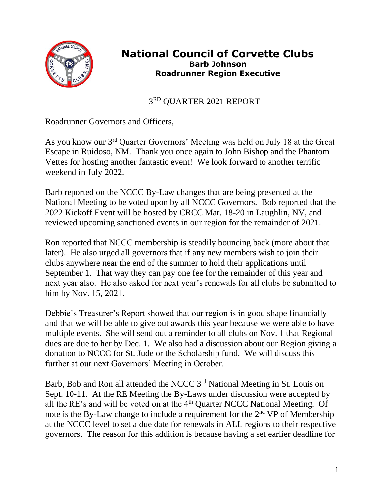

## **National Council of Corvette Clubs Barb Johnson Roadrunner Region Executive**

 3 3RD QUARTER 2021 REPORT

Roadrunner Governors and Officers,

As you know our 3rd Quarter Governors' Meeting was held on July 18 at the Great Escape in Ruidoso, NM. Thank you once again to John Bishop and the Phantom Vettes for hosting another fantastic event! We look forward to another terrific weekend in July 2022.

Barb reported on the NCCC By-Law changes that are being presented at the National Meeting to be voted upon by all NCCC Governors. Bob reported that the 2022 Kickoff Event will be hosted by CRCC Mar. 18-20 in Laughlin, NV, and reviewed upcoming sanctioned events in our region for the remainder of 2021.

Ron reported that NCCC membership is steadily bouncing back (more about that later). He also urged all governors that if any new members wish to join their clubs anywhere near the end of the summer to hold their applications until September 1. That way they can pay one fee for the remainder of this year and next year also. He also asked for next year's renewals for all clubs be submitted to him by Nov. 15, 2021.

Debbie's Treasurer's Report showed that our region is in good shape financially and that we will be able to give out awards this year because we were able to have multiple events. She will send out a reminder to all clubs on Nov. 1 that Regional dues are due to her by Dec. 1. We also had a discussion about our Region giving a donation to NCCC for St. Jude or the Scholarship fund. We will discuss this further at our next Governors' Meeting in October.

Barb, Bob and Ron all attended the NCCC 3rd National Meeting in St. Louis on Sept. 10-11. At the RE Meeting the By-Laws under discussion were accepted by all the RE's and will be voted on at the  $4<sup>th</sup>$  Ouarter NCCC National Meeting. Of note is the By-Law change to include a requirement for the 2nd VP of Membership at the NCCC level to set a due date for renewals in ALL regions to their respective governors. The reason for this addition is because having a set earlier deadline for